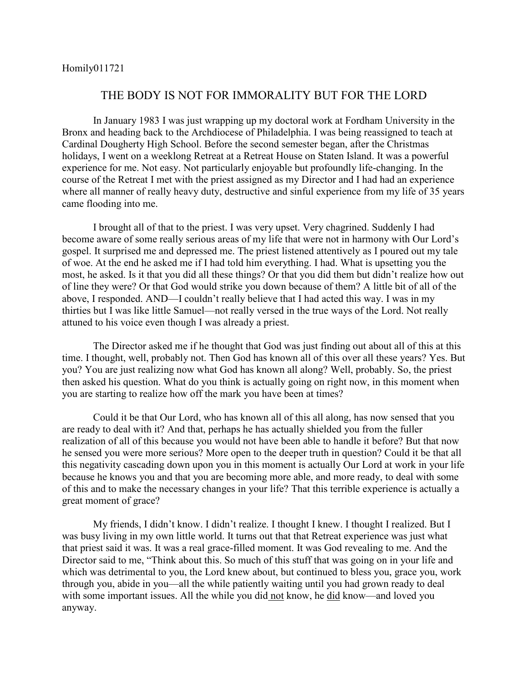## THE BODY IS NOT FOR IMMORALITY BUT FOR THE LORD

In January 1983 I was just wrapping up my doctoral work at Fordham University in the Bronx and heading back to the Archdiocese of Philadelphia. I was being reassigned to teach at Cardinal Dougherty High School. Before the second semester began, after the Christmas holidays, I went on a weeklong Retreat at a Retreat House on Staten Island. It was a powerful experience for me. Not easy. Not particularly enjoyable but profoundly life-changing. In the course of the Retreat I met with the priest assigned as my Director and I had had an experience where all manner of really heavy duty, destructive and sinful experience from my life of 35 years came flooding into me.

I brought all of that to the priest. I was very upset. Very chagrined. Suddenly I had become aware of some really serious areas of my life that were not in harmony with Our Lord's gospel. It surprised me and depressed me. The priest listened attentively as I poured out my tale of woe. At the end he asked me if I had told him everything. I had. What is upsetting you the most, he asked. Is it that you did all these things? Or that you did them but didn't realize how out of line they were? Or that God would strike you down because of them? A little bit of all of the above, I responded. AND—I couldn't really believe that I had acted this way. I was in my thirties but I was like little Samuel—not really versed in the true ways of the Lord. Not really attuned to his voice even though I was already a priest.

The Director asked me if he thought that God was just finding out about all of this at this time. I thought, well, probably not. Then God has known all of this over all these years? Yes. But you? You are just realizing now what God has known all along? Well, probably. So, the priest then asked his question. What do you think is actually going on right now, in this moment when you are starting to realize how off the mark you have been at times?

Could it be that Our Lord, who has known all of this all along, has now sensed that you are ready to deal with it? And that, perhaps he has actually shielded you from the fuller realization of all of this because you would not have been able to handle it before? But that now he sensed you were more serious? More open to the deeper truth in question? Could it be that all this negativity cascading down upon you in this moment is actually Our Lord at work in your life because he knows you and that you are becoming more able, and more ready, to deal with some of this and to make the necessary changes in your life? That this terrible experience is actually a great moment of grace?

My friends, I didn't know. I didn't realize. I thought I knew. I thought I realized. But I was busy living in my own little world. It turns out that that Retreat experience was just what that priest said it was. It was a real grace-filled moment. It was God revealing to me. And the Director said to me, "Think about this. So much of this stuff that was going on in your life and which was detrimental to you, the Lord knew about, but continued to bless you, grace you, work through you, abide in you—all the while patiently waiting until you had grown ready to deal with some important issues. All the while you did not know, he did know—and loved you anyway.